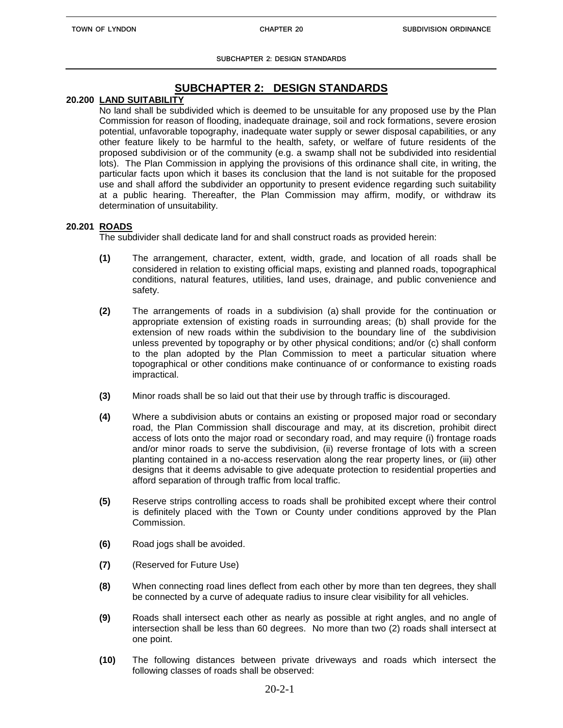**SUBCHAPTER 2: DESIGN STANDARDS**

# **SUBCHAPTER 2: DESIGN STANDARDS**

# **20.200 LAND SUITABILITY**

No land shall be subdivided which is deemed to be unsuitable for any proposed use by the Plan Commission for reason of flooding, inadequate drainage, soil and rock formations, severe erosion potential, unfavorable topography, inadequate water supply or sewer disposal capabilities, or any other feature likely to be harmful to the health, safety, or welfare of future residents of the proposed subdivision or of the community (e.g. a swamp shall not be subdivided into residential lots). The Plan Commission in applying the provisions of this ordinance shall cite, in writing, the particular facts upon which it bases its conclusion that the land is not suitable for the proposed use and shall afford the subdivider an opportunity to present evidence regarding such suitability at a public hearing. Thereafter, the Plan Commission may affirm, modify, or withdraw its determination of unsuitability.

## **20.201 ROADS**

The subdivider shall dedicate land for and shall construct roads as provided herein:

- **(1)** The arrangement, character, extent, width, grade, and location of all roads shall be considered in relation to existing official maps, existing and planned roads, topographical conditions, natural features, utilities, land uses, drainage, and public convenience and safety.
- **(2)** The arrangements of roads in a subdivision (a) shall provide for the continuation or appropriate extension of existing roads in surrounding areas; (b) shall provide for the extension of new roads within the subdivision to the boundary line of the subdivision unless prevented by topography or by other physical conditions; and/or (c) shall conform to the plan adopted by the Plan Commission to meet a particular situation where topographical or other conditions make continuance of or conformance to existing roads impractical.
- **(3)** Minor roads shall be so laid out that their use by through traffic is discouraged.
- **(4)** Where a subdivision abuts or contains an existing or proposed major road or secondary road, the Plan Commission shall discourage and may, at its discretion, prohibit direct access of lots onto the major road or secondary road, and may require (i) frontage roads and/or minor roads to serve the subdivision, (ii) reverse frontage of lots with a screen planting contained in a no-access reservation along the rear property lines, or (iii) other designs that it deems advisable to give adequate protection to residential properties and afford separation of through traffic from local traffic.
- **(5)** Reserve strips controlling access to roads shall be prohibited except where their control is definitely placed with the Town or County under conditions approved by the Plan Commission.
- **(6)** Road jogs shall be avoided.
- **(7)** (Reserved for Future Use)
- **(8)** When connecting road lines deflect from each other by more than ten degrees, they shall be connected by a curve of adequate radius to insure clear visibility for all vehicles.
- **(9)** Roads shall intersect each other as nearly as possible at right angles, and no angle of intersection shall be less than 60 degrees. No more than two (2) roads shall intersect at one point.
- **(10)** The following distances between private driveways and roads which intersect the following classes of roads shall be observed: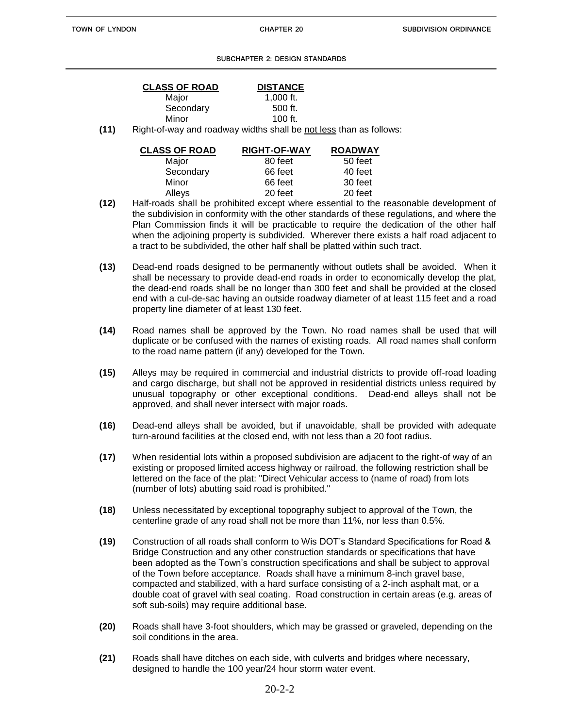#### **SUBCHAPTER 2: DESIGN STANDARDS**

| <b>CLASS OF ROAD</b> | <b>DISTANCE</b> |
|----------------------|-----------------|
| Major                | 1,000 ft.       |
| Secondary            | 500 ft.         |
| Minor                | $100$ ft.       |

**(11)** Right-of-way and roadway widths shall be not less than as follows:

| <b>CLASS OF ROAD</b> | <b>RIGHT-OF-WAY</b> | <b>ROADWAY</b> |
|----------------------|---------------------|----------------|
| Major                | 80 feet             | 50 feet        |
| Secondary            | 66 feet             | 40 feet        |
| Minor                | 66 feet             | 30 feet        |
| Alleys               | 20 feet             | 20 feet        |

- **(12)** Half-roads shall be prohibited except where essential to the reasonable development of the subdivision in conformity with the other standards of these regulations, and where the Plan Commission finds it will be practicable to require the dedication of the other half when the adjoining property is subdivided. Wherever there exists a half road adjacent to a tract to be subdivided, the other half shall be platted within such tract.
- **(13)** Dead-end roads designed to be permanently without outlets shall be avoided. When it shall be necessary to provide dead-end roads in order to economically develop the plat, the dead-end roads shall be no longer than 300 feet and shall be provided at the closed end with a cul-de-sac having an outside roadway diameter of at least 115 feet and a road property line diameter of at least 130 feet.
- **(14)** Road names shall be approved by the Town. No road names shall be used that will duplicate or be confused with the names of existing roads. All road names shall conform to the road name pattern (if any) developed for the Town.
- **(15)** Alleys may be required in commercial and industrial districts to provide off-road loading and cargo discharge, but shall not be approved in residential districts unless required by unusual topography or other exceptional conditions. Dead-end alleys shall not be approved, and shall never intersect with major roads.
- **(16)** Dead-end alleys shall be avoided, but if unavoidable, shall be provided with adequate turn-around facilities at the closed end, with not less than a 20 foot radius.
- **(17)** When residential lots within a proposed subdivision are adjacent to the right-of way of an existing or proposed limited access highway or railroad, the following restriction shall be lettered on the face of the plat: "Direct Vehicular access to (name of road) from lots (number of lots) abutting said road is prohibited."
- **(18)** Unless necessitated by exceptional topography subject to approval of the Town, the centerline grade of any road shall not be more than 11%, nor less than 0.5%.
- **(19)** Construction of all roads shall conform to Wis DOT's Standard Specifications for Road & Bridge Construction and any other construction standards or specifications that have been adopted as the Town's construction specifications and shall be subject to approval of the Town before acceptance. Roads shall have a minimum 8-inch gravel base, compacted and stabilized, with a hard surface consisting of a 2-inch asphalt mat, or a double coat of gravel with seal coating. Road construction in certain areas (e.g. areas of soft sub-soils) may require additional base.
- **(20)** Roads shall have 3-foot shoulders, which may be grassed or graveled, depending on the soil conditions in the area.
- **(21)** Roads shall have ditches on each side, with culverts and bridges where necessary, designed to handle the 100 year/24 hour storm water event.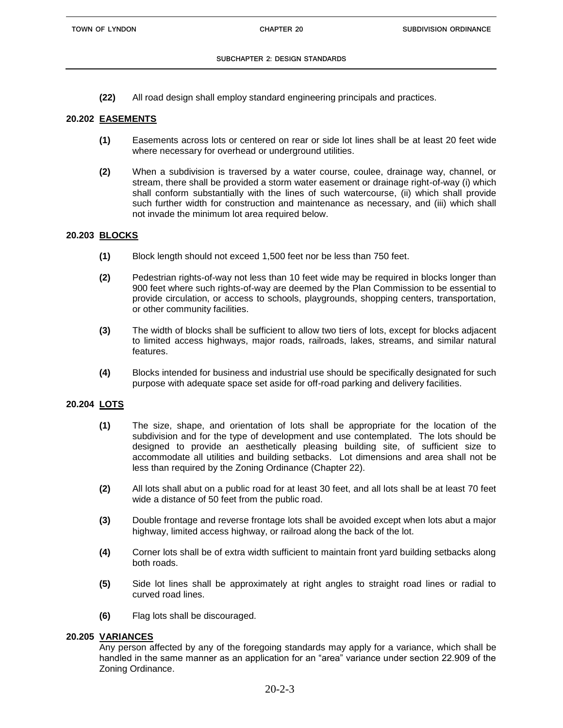**(22)** All road design shall employ standard engineering principals and practices.

### **20.202 EASEMENTS**

- **(1)** Easements across lots or centered on rear or side lot lines shall be at least 20 feet wide where necessary for overhead or underground utilities.
- **(2)** When a subdivision is traversed by a water course, coulee, drainage way, channel, or stream, there shall be provided a storm water easement or drainage right-of-way (i) which shall conform substantially with the lines of such watercourse, (ii) which shall provide such further width for construction and maintenance as necessary, and (iii) which shall not invade the minimum lot area required below.

#### **20.203 BLOCKS**

- **(1)** Block length should not exceed 1,500 feet nor be less than 750 feet.
- **(2)** Pedestrian rights-of-way not less than 10 feet wide may be required in blocks longer than 900 feet where such rights-of-way are deemed by the Plan Commission to be essential to provide circulation, or access to schools, playgrounds, shopping centers, transportation, or other community facilities.
- **(3)** The width of blocks shall be sufficient to allow two tiers of lots, except for blocks adjacent to limited access highways, major roads, railroads, lakes, streams, and similar natural features.
- **(4)** Blocks intended for business and industrial use should be specifically designated for such purpose with adequate space set aside for off-road parking and delivery facilities.

#### **20.204 LOTS**

- **(1)** The size, shape, and orientation of lots shall be appropriate for the location of the subdivision and for the type of development and use contemplated. The lots should be designed to provide an aesthetically pleasing building site, of sufficient size to accommodate all utilities and building setbacks. Lot dimensions and area shall not be less than required by the Zoning Ordinance (Chapter 22).
- **(2)** All lots shall abut on a public road for at least 30 feet, and all lots shall be at least 70 feet wide a distance of 50 feet from the public road.
- **(3)** Double frontage and reverse frontage lots shall be avoided except when lots abut a major highway, limited access highway, or railroad along the back of the lot.
- **(4)** Corner lots shall be of extra width sufficient to maintain front yard building setbacks along both roads.
- **(5)** Side lot lines shall be approximately at right angles to straight road lines or radial to curved road lines.
- **(6)** Flag lots shall be discouraged.

#### **20.205 VARIANCES**

Any person affected by any of the foregoing standards may apply for a variance, which shall be handled in the same manner as an application for an "area" variance under section 22.909 of the Zoning Ordinance.